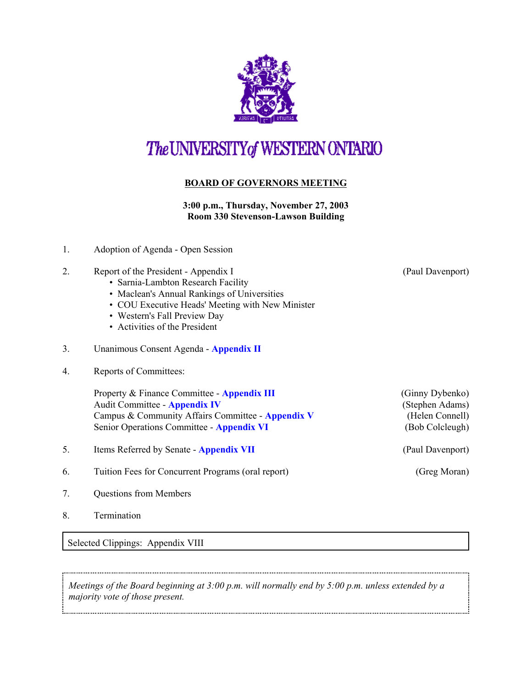

# The UNIVERSITY of WESTERN ONTARIO

# **BOARD OF GOVERNORS MEETING**

### **3:00 p.m., Thursday, November 27, 2003 Room 330 Stevenson-Lawson Building**

1. Adoption of Agenda - Open Session

#### 2. Report of the President - Appendix I (Paul Davenport)

- Sarnia-Lambton Research Facility
- Maclean's Annual Rankings of Universities
- COU Executive Heads' Meeting with New Minister
- Western's Fall Preview Day
- Activities of the President
- 3. Unanimous Consent Agenda **[Appendix II](r0311_consent.pdf)**
- 4. Reports of Committees:

Property & Finance Committee - **[Appendix III](r0311pf.pdf)** (Ginny Dybenko) Audit Committee - **[Appendix IV](r0311aud.pdf)** (Stephen Adams) Campus & Community Affairs Committee - **[Appendix V](r0311ccac.pdf)** (Helen Connell) Senior Operations Committee - **[Appendix VI](r0311srops.pdf)** (Bob Colcleugh)

- 5. Items Referred by Senate **[Appendix VII](r0311sen.pdf)** (Paul Davenport)
- 6. Tuition Fees for Concurrent Programs (oral report) (Greg Moran)
- 7. Questions from Members
- 8. Termination

Selected Clippings: Appendix VIII

*Meetings of the Board beginning at 3:00 p.m. will normally end by 5:00 p.m. unless extended by a majority vote of those present.*